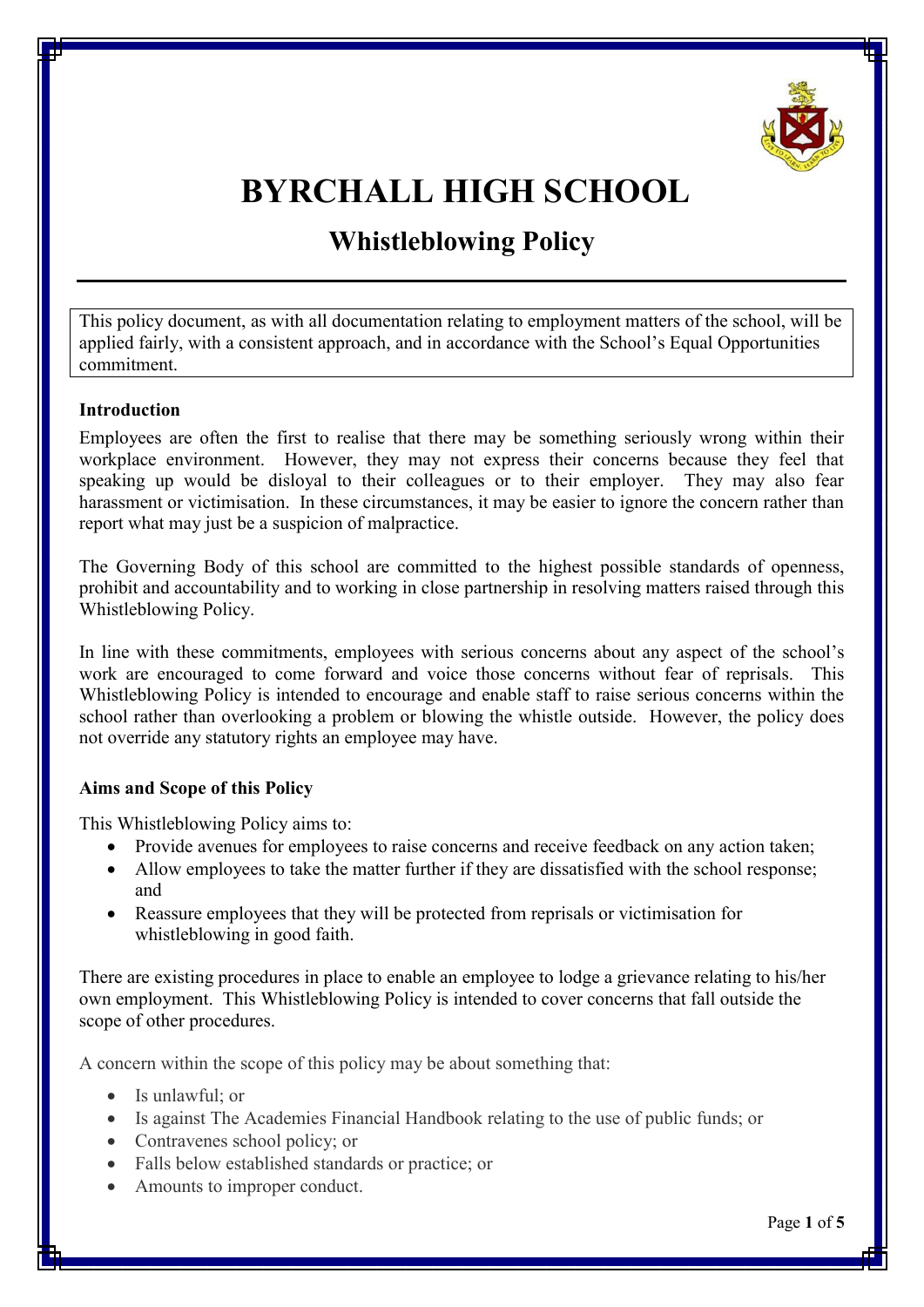

# **BYRCHALL HIGH SCHOOL**

# **Whistleblowing Policy**

This policy document, as with all documentation relating to employment matters of the school, will be applied fairly, with a consistent approach, and in accordance with the School's Equal Opportunities commitment.

#### **Introduction**

Employees are often the first to realise that there may be something seriously wrong within their workplace environment. However, they may not express their concerns because they feel that speaking up would be disloyal to their colleagues or to their employer. They may also fear harassment or victimisation. In these circumstances, it may be easier to ignore the concern rather than report what may just be a suspicion of malpractice.

The Governing Body of this school are committed to the highest possible standards of openness, prohibit and accountability and to working in close partnership in resolving matters raised through this Whistleblowing Policy.

In line with these commitments, employees with serious concerns about any aspect of the school's work are encouraged to come forward and voice those concerns without fear of reprisals. This Whistleblowing Policy is intended to encourage and enable staff to raise serious concerns within the school rather than overlooking a problem or blowing the whistle outside. However, the policy does not override any statutory rights an employee may have.

# **Aims and Scope of this Policy**

This Whistleblowing Policy aims to:

- · Provide avenues for employees to raise concerns and receive feedback on any action taken;
- Allow employees to take the matter further if they are dissatisfied with the school response; and
- · Reassure employees that they will be protected from reprisals or victimisation for whistleblowing in good faith.

There are existing procedures in place to enable an employee to lodge a grievance relating to his/her own employment. This Whistleblowing Policy is intended to cover concerns that fall outside the scope of other procedures.

A concern within the scope of this policy may be about something that:

- · Is unlawful; or
- · Is against The Academies Financial Handbook relating to the use of public funds; or
- Contravenes school policy; or
- Falls below established standards or practice; or
- Amounts to improper conduct.

Page **1** of **5**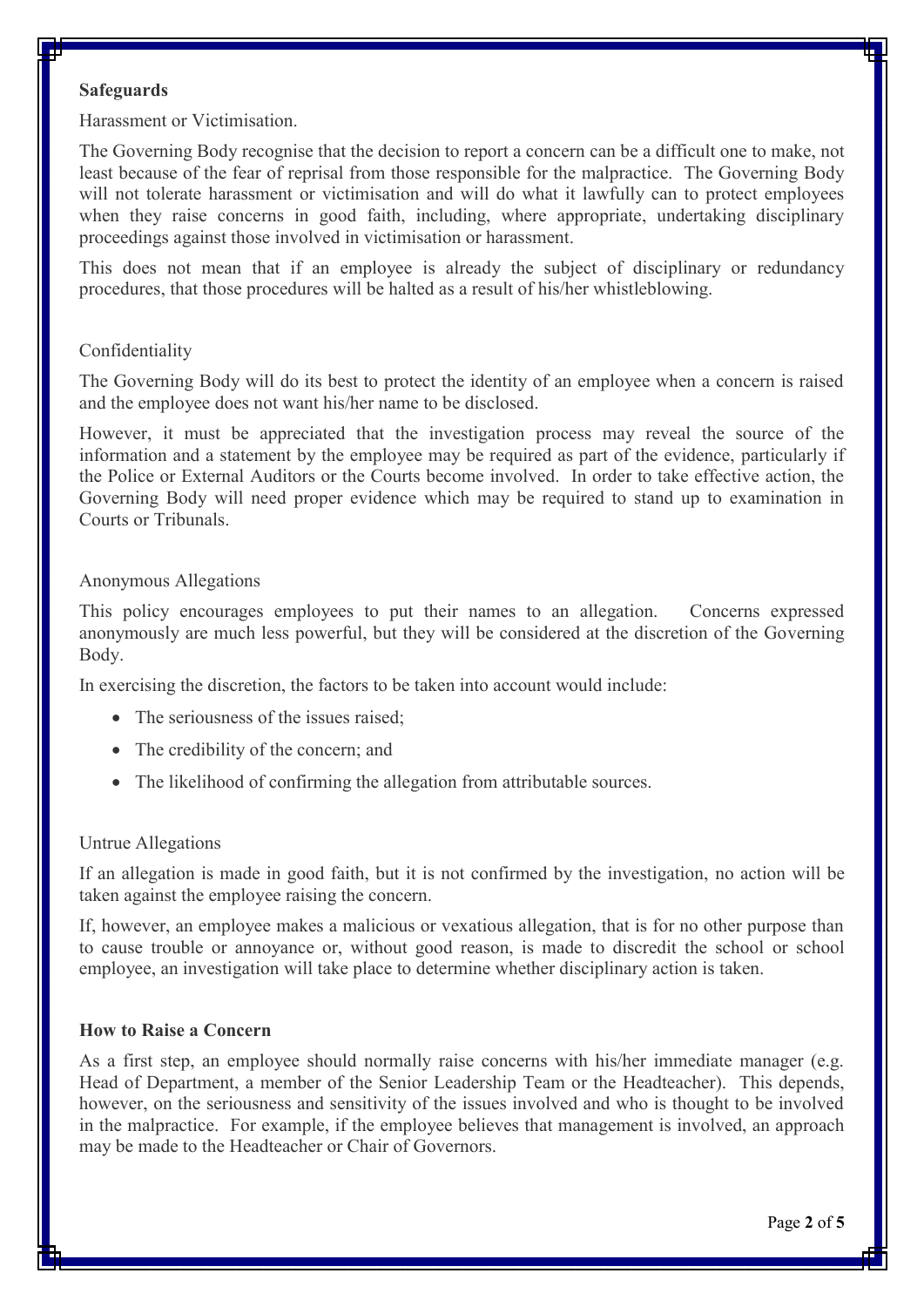#### **Safeguards**

Harassment or Victimisation.

The Governing Body recognise that the decision to report a concern can be a difficult one to make, not least because of the fear of reprisal from those responsible for the malpractice. The Governing Body will not tolerate harassment or victimisation and will do what it lawfully can to protect employees when they raise concerns in good faith, including, where appropriate, undertaking disciplinary proceedings against those involved in victimisation or harassment.

This does not mean that if an employee is already the subject of disciplinary or redundancy procedures, that those procedures will be halted as a result of his/her whistleblowing.

#### Confidentiality

The Governing Body will do its best to protect the identity of an employee when a concern is raised and the employee does not want his/her name to be disclosed.

However, it must be appreciated that the investigation process may reveal the source of the information and a statement by the employee may be required as part of the evidence, particularly if the Police or External Auditors or the Courts become involved. In order to take effective action, the Governing Body will need proper evidence which may be required to stand up to examination in Courts or Tribunals.

#### Anonymous Allegations

This policy encourages employees to put their names to an allegation. Concerns expressed anonymously are much less powerful, but they will be considered at the discretion of the Governing Body.

In exercising the discretion, the factors to be taken into account would include:

- The seriousness of the issues raised;
- The credibility of the concern; and
- The likelihood of confirming the allegation from attributable sources.

#### Untrue Allegations

If an allegation is made in good faith, but it is not confirmed by the investigation, no action will be taken against the employee raising the concern.

If, however, an employee makes a malicious or vexatious allegation, that is for no other purpose than to cause trouble or annoyance or, without good reason, is made to discredit the school or school employee, an investigation will take place to determine whether disciplinary action is taken.

#### **How to Raise a Concern**

As a first step, an employee should normally raise concerns with his/her immediate manager (e.g. Head of Department, a member of the Senior Leadership Team or the Headteacher). This depends, however, on the seriousness and sensitivity of the issues involved and who is thought to be involved in the malpractice. For example, if the employee believes that management is involved, an approach may be made to the Headteacher or Chair of Governors.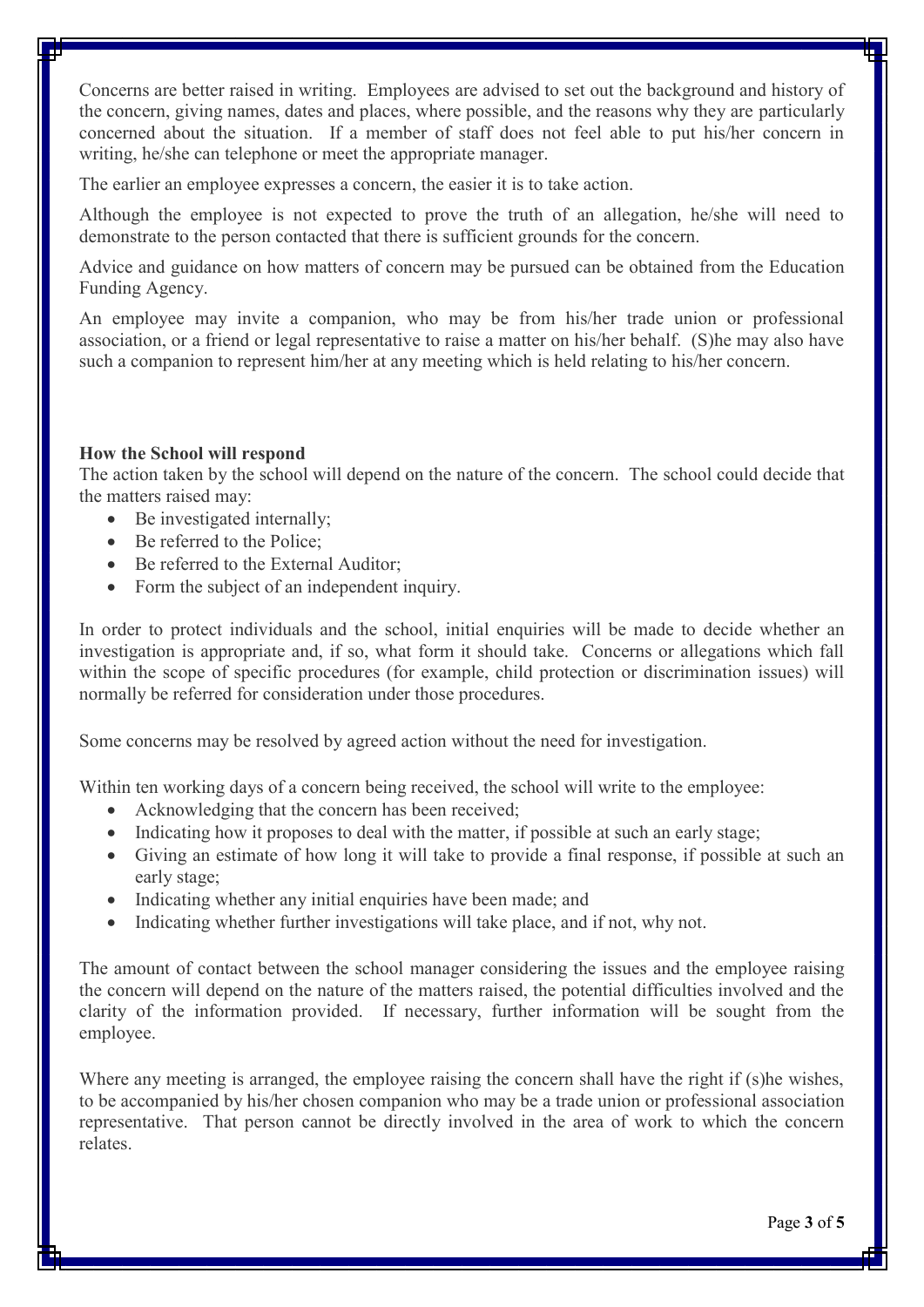Concerns are better raised in writing. Employees are advised to set out the background and history of the concern, giving names, dates and places, where possible, and the reasons why they are particularly concerned about the situation. If a member of staff does not feel able to put his/her concern in writing, he/she can telephone or meet the appropriate manager.

The earlier an employee expresses a concern, the easier it is to take action.

Although the employee is not expected to prove the truth of an allegation, he/she will need to demonstrate to the person contacted that there is sufficient grounds for the concern.

Advice and guidance on how matters of concern may be pursued can be obtained from the Education Funding Agency.

An employee may invite a companion, who may be from his/her trade union or professional association, or a friend or legal representative to raise a matter on his/her behalf. (S)he may also have such a companion to represent him/her at any meeting which is held relating to his/her concern.

## **How the School will respond**

The action taken by the school will depend on the nature of the concern. The school could decide that the matters raised may:

- Be investigated internally;
- Be referred to the Police:
- Be referred to the External Auditor:
- Form the subject of an independent inquiry.

In order to protect individuals and the school, initial enquiries will be made to decide whether an investigation is appropriate and, if so, what form it should take. Concerns or allegations which fall within the scope of specific procedures (for example, child protection or discrimination issues) will normally be referred for consideration under those procedures.

Some concerns may be resolved by agreed action without the need for investigation.

Within ten working days of a concern being received, the school will write to the employee:

- Acknowledging that the concern has been received;
- Indicating how it proposes to deal with the matter, if possible at such an early stage;
- · Giving an estimate of how long it will take to provide a final response, if possible at such an early stage;
- Indicating whether any initial enquiries have been made; and
- Indicating whether further investigations will take place, and if not, why not.

The amount of contact between the school manager considering the issues and the employee raising the concern will depend on the nature of the matters raised, the potential difficulties involved and the clarity of the information provided. If necessary, further information will be sought from the employee.

Where any meeting is arranged, the employee raising the concern shall have the right if (s)he wishes, to be accompanied by his/her chosen companion who may be a trade union or professional association representative. That person cannot be directly involved in the area of work to which the concern relates.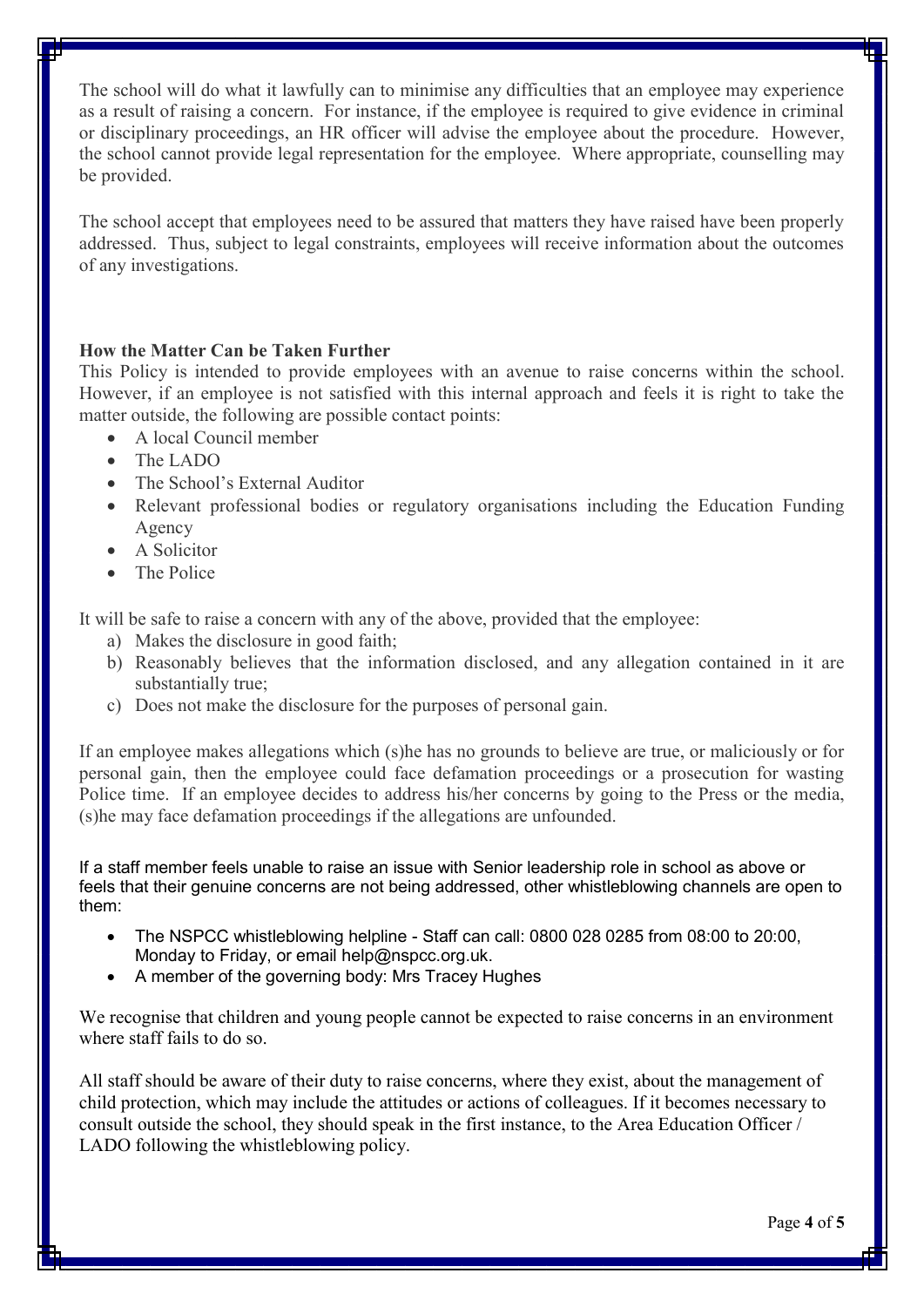The school will do what it lawfully can to minimise any difficulties that an employee may experience as a result of raising a concern. For instance, if the employee is required to give evidence in criminal or disciplinary proceedings, an HR officer will advise the employee about the procedure. However, the school cannot provide legal representation for the employee. Where appropriate, counselling may be provided.

The school accept that employees need to be assured that matters they have raised have been properly addressed. Thus, subject to legal constraints, employees will receive information about the outcomes of any investigations.

## **How the Matter Can be Taken Further**

This Policy is intended to provide employees with an avenue to raise concerns within the school. However, if an employee is not satisfied with this internal approach and feels it is right to take the matter outside, the following are possible contact points:

- · A local Council member
- · The LADO
- The School's External Auditor
- Relevant professional bodies or regulatory organisations including the Education Funding Agency
- A Solicitor
- The Police

It will be safe to raise a concern with any of the above, provided that the employee:

- a) Makes the disclosure in good faith;
- b) Reasonably believes that the information disclosed, and any allegation contained in it are substantially true;
- c) Does not make the disclosure for the purposes of personal gain.

If an employee makes allegations which (s)he has no grounds to believe are true, or maliciously or for personal gain, then the employee could face defamation proceedings or a prosecution for wasting Police time. If an employee decides to address his/her concerns by going to the Press or the media, (s)he may face defamation proceedings if the allegations are unfounded.

If a staff member feels unable to raise an issue with Senior leadership role in school as above or feels that their genuine concerns are not being addressed, other whistleblowing channels are open to them:

- · The NSPCC whistleblowing helpline Staff can call: 0800 028 0285 from 08:00 to 20:00, Monday to Friday, or email help@nspcc.org.uk.
- A member of the governing body: Mrs Tracey Hughes

We recognise that children and young people cannot be expected to raise concerns in an environment where staff fails to do so.

All staff should be aware of their duty to raise concerns, where they exist, about the management of child protection, which may include the attitudes or actions of colleagues. If it becomes necessary to consult outside the school, they should speak in the first instance, to the Area Education Officer / LADO following the whistleblowing policy.